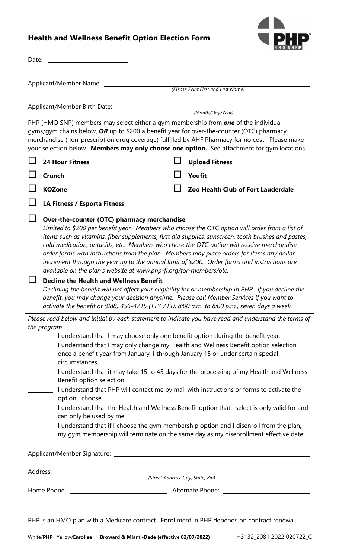## **Health and Wellness Benefit Option Election Form**



| Date:                                                                                                                                                                                                                                                                                                                                                                                                                                                                                                           |                                                                                                                                                                                                                                                                                                                                                                                                                                                                                                                                                                                                                          |  |  |                                    |  |
|-----------------------------------------------------------------------------------------------------------------------------------------------------------------------------------------------------------------------------------------------------------------------------------------------------------------------------------------------------------------------------------------------------------------------------------------------------------------------------------------------------------------|--------------------------------------------------------------------------------------------------------------------------------------------------------------------------------------------------------------------------------------------------------------------------------------------------------------------------------------------------------------------------------------------------------------------------------------------------------------------------------------------------------------------------------------------------------------------------------------------------------------------------|--|--|------------------------------------|--|
| Applicant/Member Name: __________                                                                                                                                                                                                                                                                                                                                                                                                                                                                               |                                                                                                                                                                                                                                                                                                                                                                                                                                                                                                                                                                                                                          |  |  |                                    |  |
| (Please Print First and Last Name)                                                                                                                                                                                                                                                                                                                                                                                                                                                                              |                                                                                                                                                                                                                                                                                                                                                                                                                                                                                                                                                                                                                          |  |  |                                    |  |
| Applicant/Member Birth Date: _________                                                                                                                                                                                                                                                                                                                                                                                                                                                                          |                                                                                                                                                                                                                                                                                                                                                                                                                                                                                                                                                                                                                          |  |  |                                    |  |
|                                                                                                                                                                                                                                                                                                                                                                                                                                                                                                                 | (Month/Day/Year)                                                                                                                                                                                                                                                                                                                                                                                                                                                                                                                                                                                                         |  |  |                                    |  |
| PHP (HMO SNP) members may select either a gym membership from <b>one</b> of the individual<br>gyms/gym chains below, OR up to \$200 a benefit year for over-the-counter (OTC) pharmacy<br>merchandise (non-prescription drug coverage) fulfilled by AHF Pharmacy for no cost. Please make<br>your selection below. Members may only choose one option. See attachment for gym locations.                                                                                                                        |                                                                                                                                                                                                                                                                                                                                                                                                                                                                                                                                                                                                                          |  |  |                                    |  |
|                                                                                                                                                                                                                                                                                                                                                                                                                                                                                                                 | <b>24 Hour Fitness</b>                                                                                                                                                                                                                                                                                                                                                                                                                                                                                                                                                                                                   |  |  | <b>Upload Fitness</b>              |  |
|                                                                                                                                                                                                                                                                                                                                                                                                                                                                                                                 | Crunch                                                                                                                                                                                                                                                                                                                                                                                                                                                                                                                                                                                                                   |  |  | Youfit                             |  |
|                                                                                                                                                                                                                                                                                                                                                                                                                                                                                                                 | <b>KOZone</b>                                                                                                                                                                                                                                                                                                                                                                                                                                                                                                                                                                                                            |  |  | Zoo Health Club of Fort Lauderdale |  |
|                                                                                                                                                                                                                                                                                                                                                                                                                                                                                                                 | LA Fitness / Esporta Fitness                                                                                                                                                                                                                                                                                                                                                                                                                                                                                                                                                                                             |  |  |                                    |  |
|                                                                                                                                                                                                                                                                                                                                                                                                                                                                                                                 | Limited to \$200 per benefit year. Members who choose the OTC option will order from a list of<br>items such as vitamins, fiber supplements, first aid supplies, sunscreen, tooth brushes and pastes,<br>cold medication, antacids, etc. Members who chose the OTC option will receive merchandise<br>order forms with instructions from the plan. Members may place orders for items any dollar<br>increment through the year up to the annual limit of \$200. Order forms and instructions are<br>available on the plan's website at www.php-fl.org/for-members/otc.<br><b>Decline the Health and Wellness Benefit</b> |  |  |                                    |  |
|                                                                                                                                                                                                                                                                                                                                                                                                                                                                                                                 | Declining the benefit will not affect your eligibility for or membership in PHP. If you decline the<br>benefit, you may change your decision anytime. Please call Member Services if you want to<br>activate the benefit at (888) 456-4715 (TTY 711), 8:00 a.m. to 8:00 p.m., seven days a week.                                                                                                                                                                                                                                                                                                                         |  |  |                                    |  |
| Please read below and initial by each statement to indicate you have read and understand the terms of                                                                                                                                                                                                                                                                                                                                                                                                           |                                                                                                                                                                                                                                                                                                                                                                                                                                                                                                                                                                                                                          |  |  |                                    |  |
| the program.<br>I understand that I may choose only one benefit option during the benefit year.<br>I understand that I may only change my Health and Wellness Benefit option selection<br>once a benefit year from January 1 through January 15 or under certain special<br>circumstances.<br>I understand that it may take 15 to 45 days for the processing of my Health and Wellness<br>Benefit option selection.<br>I understand that PHP will contact me by mail with instructions or forms to activate the |                                                                                                                                                                                                                                                                                                                                                                                                                                                                                                                                                                                                                          |  |  |                                    |  |
|                                                                                                                                                                                                                                                                                                                                                                                                                                                                                                                 | option I choose.<br>I understand that the Health and Wellness Benefit option that I select is only valid for and<br>can only be used by me.<br>I understand that if I choose the gym membership option and I disenroll from the plan,                                                                                                                                                                                                                                                                                                                                                                                    |  |  |                                    |  |
| my gym membership will terminate on the same day as my disenrollment effective date.<br>Applicant/Member Signature:                                                                                                                                                                                                                                                                                                                                                                                             |                                                                                                                                                                                                                                                                                                                                                                                                                                                                                                                                                                                                                          |  |  |                                    |  |

Address:

*(Street Address, City, State, Zip)*

Home Phone: Alternate Phone:

PHP is an HMO plan with a Medicare contract. Enrollment in PHP depends on contract renewal.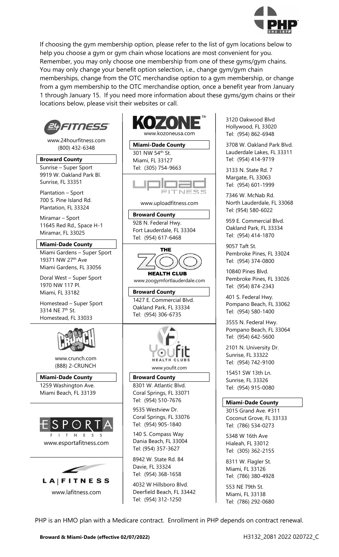

If choosing the gym membership option, please refer to the list of gym locations below to help you choose a gym or gym chain whose locations are most convenient for you. Remember, you may only choose one membership from one of these gyms/gym chains. You may only change your benefit option selection, i.e., change gym/gym chain memberships, change from the OTC merchandise option to a gym membership, or change from a gym membership to the OTC merchandise option, once a benefit year from January 1 through January 15. If you need more information about these gyms/gym chains or their locations below, please visit their websites or call.



3120 Oakwood Blvd Hollywood, FL 33020 Tel: (954) 862-6948

3708 W. Oakland Park Blvd. Lauderdale Lakes, FL 33311 Tel: (954) 414-9719

3133 N. State Rd. 7 Margate, FL 33063 Tel: (954) 601-1999

7346 W. McNab Rd. North Lauderdale, FL 33068 Tel: (954) 580-6022

959 E. Commercial Blvd. Oakland Park, FL 33334 Tel: (954) 414-1870

9057 Taft St. Pembroke Pines, FL 33024 Tel: (954) 374-0800

10840 Pines Blvd. Pembroke Pines, FL 33026 Tel: (954) 874-2343

401 S. Federal Hwy. Pompano Beach, FL 33062 Tel: (954) 580-1400

3555 N. Federal Hwy. Pompano Beach, FL 33064 Tel: (954) 642-5600

2101 N. University Dr. Sunrise, FL 33322 Tel: (954) 742-9100

15451 SW 13th Ln. Sunrise, FL 33326 Tel: (954) 915-0080

## **Miami-Dade County**

3015 Grand Ave. #311 Coconut Grove, FL 33133 Tel: (786) 534-0273

5348 W 16th Ave Hialeah, FL 33012 Tel: (305) 362-2155

8311 W. Flagler St. Miami, FL 33126 Tel: (786) 380-4928

553 NE 79th St. Miami, FL 33138 Tel: (786) 292-0680

PHP is an HMO plan with a Medicare contract. Enrollment in PHP depends on contract renewal.